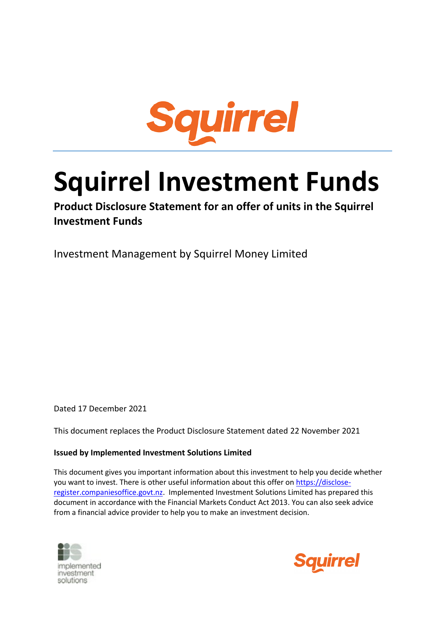

# **Squirrel Investment Funds**

**Product Disclosure Statement for an offer of units in the Squirrel Investment Funds**

Investment Management by Squirrel Money Limited

Dated 17 December 2021

This document replaces the Product Disclosure Statement dated 22 November 2021

## **Issued by Implemented Investment Solutions Limited**

This document gives you important information about this investment to help you decide whether you want to invest. There is other useful information about this offer on [https://disclose](https://disclose-register.companiesoffice.govt.nz/)[register.companiesoffice.govt.nz.](https://disclose-register.companiesoffice.govt.nz/) Implemented Investment Solutions Limited has prepared this document in accordance with the Financial Markets Conduct Act 2013. You can also seek advice from a financial advice provider to help you to make an investment decision.



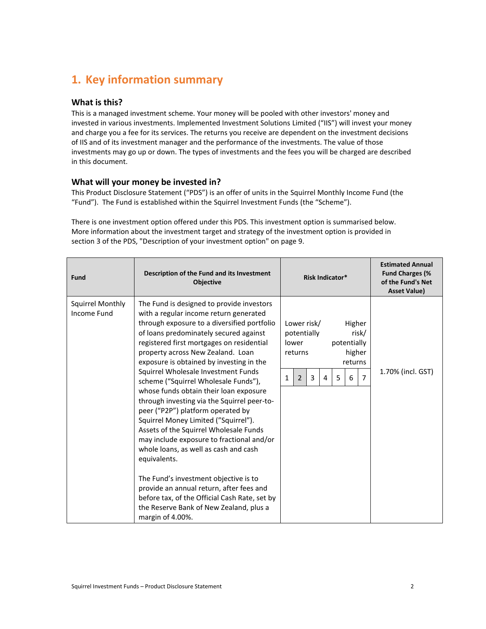# <span id="page-1-0"></span>**1. Key information summary**

## **What is this?**

This is a managed investment scheme. Your money will be pooled with other investors' money and invested in various investments. Implemented Investment Solutions Limited ("IIS") will invest your money and charge you a fee for its services. The returns you receive are dependent on the investment decisions of IIS and of its investment manager and the performance of the investments. The value of those investments may go up or down. The types of investments and the fees you will be charged are described in this document.

#### **What will your money be invested in?**

This Product Disclosure Statement ("PDS") is an offer of units in the Squirrel Monthly Income Fund (the "Fund"). The Fund is established within the Squirrel Investment Funds (the "Scheme").

There is one investment option offered under this PDS. This investment option is summarised below. More information about the investment target and strategy of the investment option is provided in section [3](#page-8-0) of the PDS, "Description of your investment option" on page [9.](#page-8-0)

| <b>Fund</b>                            | Description of the Fund and its Investment<br><b>Objective</b>                                                                                                                                                                                                                                                                                                                                                                                                                                                                                                                                                                                                                                                                                                                                                                                                                                                       | <b>Risk Indicator*</b>                                                                                                                                | <b>Estimated Annual</b><br><b>Fund Charges (%</b><br>of the Fund's Net<br><b>Asset Value)</b> |
|----------------------------------------|----------------------------------------------------------------------------------------------------------------------------------------------------------------------------------------------------------------------------------------------------------------------------------------------------------------------------------------------------------------------------------------------------------------------------------------------------------------------------------------------------------------------------------------------------------------------------------------------------------------------------------------------------------------------------------------------------------------------------------------------------------------------------------------------------------------------------------------------------------------------------------------------------------------------|-------------------------------------------------------------------------------------------------------------------------------------------------------|-----------------------------------------------------------------------------------------------|
| <b>Squirrel Monthly</b><br>Income Fund | The Fund is designed to provide investors<br>with a regular income return generated<br>through exposure to a diversified portfolio<br>of loans predominately secured against<br>registered first mortgages on residential<br>property across New Zealand. Loan<br>exposure is obtained by investing in the<br>Squirrel Wholesale Investment Funds<br>scheme ("Squirrel Wholesale Funds"),<br>whose funds obtain their loan exposure<br>through investing via the Squirrel peer-to-<br>peer ("P2P") platform operated by<br>Squirrel Money Limited ("Squirrel").<br>Assets of the Squirrel Wholesale Funds<br>may include exposure to fractional and/or<br>whole loans, as well as cash and cash<br>equivalents.<br>The Fund's investment objective is to<br>provide an annual return, after fees and<br>before tax, of the Official Cash Rate, set by<br>the Reserve Bank of New Zealand, plus a<br>margin of 4.00%. | Lower risk/<br>Higher<br>potentially<br>risk/<br>potentially<br>lower<br>higher<br>returns<br>returns<br>5<br>$\overline{2}$<br>3<br>7<br>1<br>4<br>6 | 1.70% (incl. GST)                                                                             |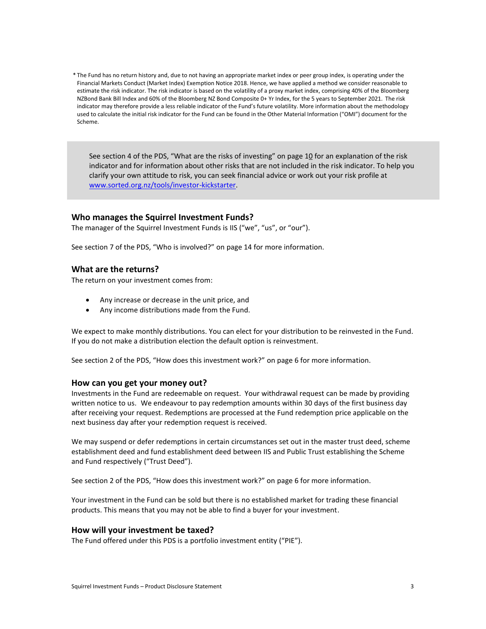\* The Fund has no return history and, due to not having an appropriate market index or peer group index, is operating under the Financial Markets Conduct (Market Index) Exemption Notice 2018. Hence, we have applied a method we consider reasonable to estimate the risk indicator. The risk indicator is based on the volatility of a proxy market index, comprising 40% of the Bloomberg NZBond Bank Bill Index and 60% of the Bloomberg NZ Bond Composite 0+ Yr Index, for the 5 years to September 2021. The risk indicator may therefore provide a less reliable indicator of the Fund's future volatility. More information about the methodology used to calculate the initial risk indicator for the Fund can be found in the Other Material Information ("OMI") document for the Scheme.

See section 4 of the PDS, "What are the risks of investing" on page [10](#page-9-0) for an explanation of the risk indicator and for information about other risks that are not included in the risk indicator. To help you clarify your own attitude to risk, you can seek financial advice or work out your risk profile at [www.sorted.org.nz/tools/investor-kickstarter.](http://www.sorted.org.nz/tools/investor-kickstarter)

#### **Who manages the Squirrel Investment Funds?**

The manager of the Squirrel Investment Funds is IIS ("we", "us", or "our").

See section 7 of the PDS, "Who is involved?" on pag[e 14](#page-13-0) for more information.

#### **What are the returns?**

The return on your investment comes from:

- Any increase or decrease in the unit price, and
- Any income distributions made from the Fund.

We expect to make monthly distributions. You can elect for your distribution to be reinvested in the Fund. If you do not make a distribution election the default option is reinvestment.

See section 2 of the PDS, "How does this investment work?" on page [6](#page-5-0) for more information.

#### **How can you get your money out?**

Investments in the Fund are redeemable on request. Your withdrawal request can be made by providing written notice to us. We endeavour to pay redemption amounts within 30 days of the first business day after receiving your request. Redemptions are processed at the Fund redemption price applicable on the next business day after your redemption request is received.

We may suspend or defer redemptions in certain circumstances set out in the master trust deed, scheme establishment deed and fund establishment deed between IIS and Public Trust establishing the Scheme and Fund respectively ("Trust Deed").

See section 2 of the PDS, "How does this investment work?" on page [6](#page-5-0) for more information.

Your investment in the Fund can be sold but there is no established market for trading these financial products. This means that you may not be able to find a buyer for your investment.

#### **How will your investment be taxed?**

The Fund offered under this PDS is a portfolio investment entity ("PIE").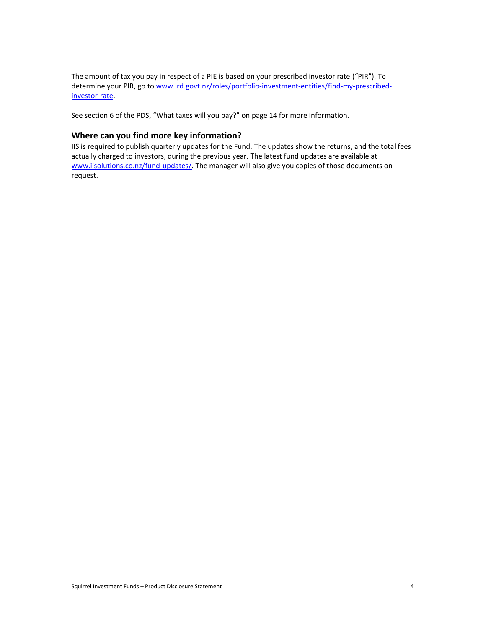The amount of tax you pay in respect of a PIE is based on your prescribed investor rate ("PIR"). To determine your PIR, go t[o www.ird.govt.nz/roles/portfolio-investment-entities/find-my-prescribed](http://www.ird.govt.nz/roles/portfolio-investment-entities/find-my-prescribed-investor-rate)[investor-rate.](http://www.ird.govt.nz/roles/portfolio-investment-entities/find-my-prescribed-investor-rate)

See section 6 of the PDS, "What taxes will you pay?" on page [14](#page-13-1) for more information.

## **Where can you find more key information?**

IIS is required to publish quarterly updates for the Fund. The updates show the returns, and the total fees actually charged to investors, during the previous year. The latest fund updates are available at [www.iisolutions.co.nz/fund-updates/.](http://www.iisolutions.co.nz/fund-updates/) The manager will also give you copies of those documents on request.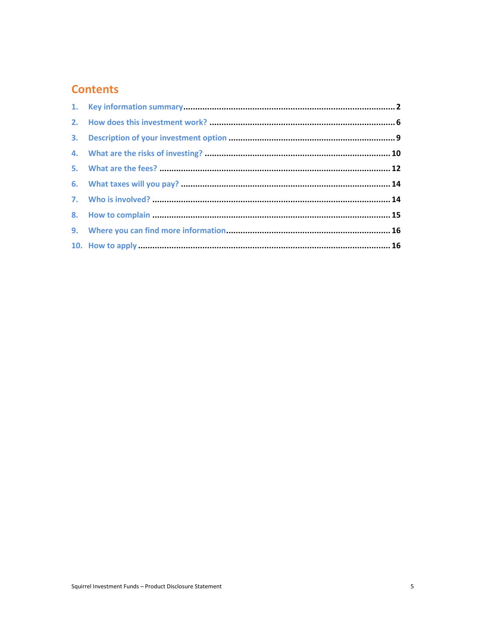# **Contents**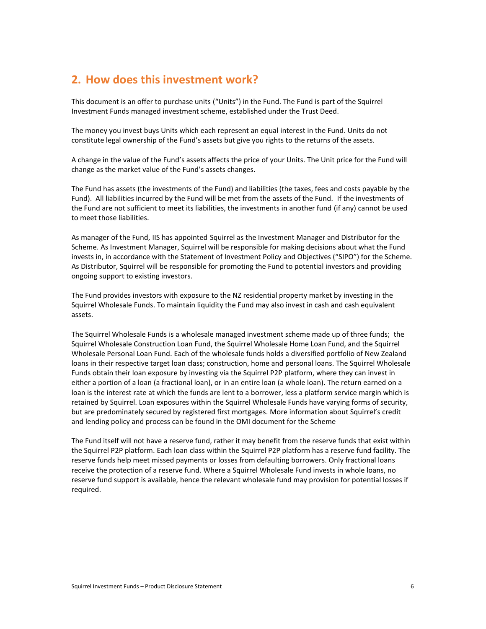## <span id="page-5-0"></span>**2. How does this investment work?**

This document is an offer to purchase units ("Units") in the Fund. The Fund is part of the Squirrel Investment Funds managed investment scheme, established under the Trust Deed.

The money you invest buys Units which each represent an equal interest in the Fund. Units do not constitute legal ownership of the Fund's assets but give you rights to the returns of the assets.

A change in the value of the Fund's assets affects the price of your Units. The Unit price for the Fund will change as the market value of the Fund's assets changes.

The Fund has assets (the investments of the Fund) and liabilities (the taxes, fees and costs payable by the Fund). All liabilities incurred by the Fund will be met from the assets of the Fund. If the investments of the Fund are not sufficient to meet its liabilities, the investments in another fund (if any) cannot be used to meet those liabilities.

As manager of the Fund, IIS has appointed Squirrel as the Investment Manager and Distributor for the Scheme. As Investment Manager, Squirrel will be responsible for making decisions about what the Fund invests in, in accordance with the Statement of Investment Policy and Objectives ("SIPO") for the Scheme. As Distributor, Squirrel will be responsible for promoting the Fund to potential investors and providing ongoing support to existing investors.

The Fund provides investors with exposure to the NZ residential property market by investing in the Squirrel Wholesale Funds. To maintain liquidity the Fund may also invest in cash and cash equivalent assets.

The Squirrel Wholesale Funds is a wholesale managed investment scheme made up of three funds; the Squirrel Wholesale Construction Loan Fund, the Squirrel Wholesale Home Loan Fund, and the Squirrel Wholesale Personal Loan Fund. Each of the wholesale funds holds a diversified portfolio of New Zealand loans in their respective target loan class; construction, home and personal loans. The Squirrel Wholesale Funds obtain their loan exposure by investing via the Squirrel P2P platform, where they can invest in either a portion of a loan (a fractional loan), or in an entire loan (a whole loan). The return earned on a loan is the interest rate at which the funds are lent to a borrower, less a platform service margin which is retained by Squirrel. Loan exposures within the Squirrel Wholesale Funds have varying forms of security, but are predominately secured by registered first mortgages. More information about Squirrel's credit and lending policy and process can be found in the OMI document for the Scheme

The Fund itself will not have a reserve fund, rather it may benefit from the reserve funds that exist within the Squirrel P2P platform. Each loan class within the Squirrel P2P platform has a reserve fund facility. The reserve funds help meet missed payments or losses from defaulting borrowers. Only fractional loans receive the protection of a reserve fund. Where a Squirrel Wholesale Fund invests in whole loans, no reserve fund support is available, hence the relevant wholesale fund may provision for potential losses if required.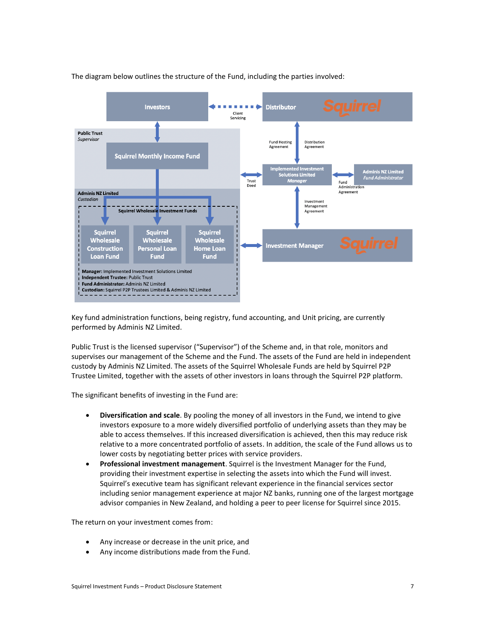

The diagram below outlines the structure of the Fund, including the parties involved:

Key fund administration functions, being registry, fund accounting, and Unit pricing, are currently performed by Adminis NZ Limited.

Public Trust is the licensed supervisor ("Supervisor") of the Scheme and, in that role, monitors and supervises our management of the Scheme and the Fund. The assets of the Fund are held in independent custody by Adminis NZ Limited. The assets of the Squirrel Wholesale Funds are held by Squirrel P2P Trustee Limited, together with the assets of other investors in loans through the Squirrel P2P platform.

The significant benefits of investing in the Fund are:

- **Diversification and scale**. By pooling the money of all investors in the Fund, we intend to give investors exposure to a more widely diversified portfolio of underlying assets than they may be able to access themselves. If this increased diversification is achieved, then this may reduce risk relative to a more concentrated portfolio of assets. In addition, the scale of the Fund allows us to lower costs by negotiating better prices with service providers.
- **Professional investment management**. Squirrel is the Investment Manager for the Fund, providing their investment expertise in selecting the assets into which the Fund will invest. Squirrel's executive team has significant relevant experience in the financial services sector including senior management experience at major NZ banks, running one of the largest mortgage advisor companies in New Zealand, and holding a peer to peer license for Squirrel since 2015.

The return on your investment comes from:

- Any increase or decrease in the unit price, and
- Any income distributions made from the Fund.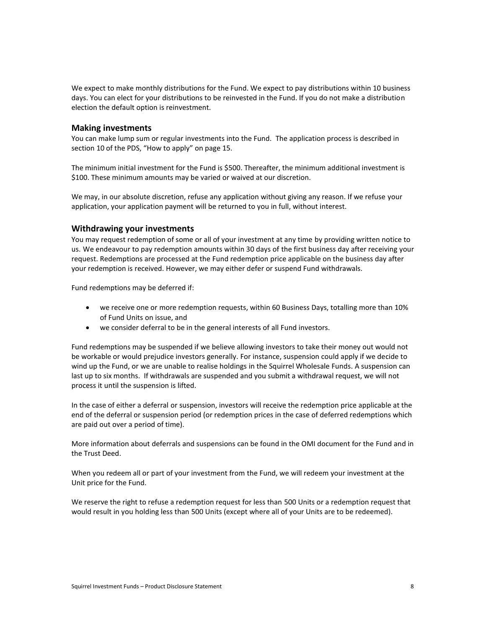We expect to make monthly distributions for the Fund. We expect to pay distributions within 10 business days. You can elect for your distributions to be reinvested in the Fund. If you do not make a distribution election the default option is reinvestment.

#### **Making investments**

You can make lump sum or regular investments into the Fund. The application process is described in section 10 of the PDS, "How to apply" on page 15.

The minimum initial investment for the Fund is \$500. Thereafter, the minimum additional investment is \$100. These minimum amounts may be varied or waived at our discretion.

We may, in our absolute discretion, refuse any application without giving any reason. If we refuse your application, your application payment will be returned to you in full, without interest.

#### **Withdrawing your investments**

You may request redemption of some or all of your investment at any time by providing written notice to us. We endeavour to pay redemption amounts within 30 days of the first business day after receiving your request. Redemptions are processed at the Fund redemption price applicable on the business day after your redemption is received. However, we may either defer or suspend Fund withdrawals.

Fund redemptions may be deferred if:

- we receive one or more redemption requests, within 60 Business Days, totalling more than 10% of Fund Units on issue, and
- we consider deferral to be in the general interests of all Fund investors.

Fund redemptions may be suspended if we believe allowing investors to take their money out would not be workable or would prejudice investors generally. For instance, suspension could apply if we decide to wind up the Fund, or we are unable to realise holdings in the Squirrel Wholesale Funds. A suspension can last up to six months. If withdrawals are suspended and you submit a withdrawal request, we will not process it until the suspension is lifted.

In the case of either a deferral or suspension, investors will receive the redemption price applicable at the end of the deferral or suspension period (or redemption prices in the case of deferred redemptions which are paid out over a period of time).

More information about deferrals and suspensions can be found in the OMI document for the Fund and in the Trust Deed.

When you redeem all or part of your investment from the Fund, we will redeem your investment at the Unit price for the Fund.

We reserve the right to refuse a redemption request for less than 500 Units or a redemption request that would result in you holding less than 500 Units (except where all of your Units are to be redeemed).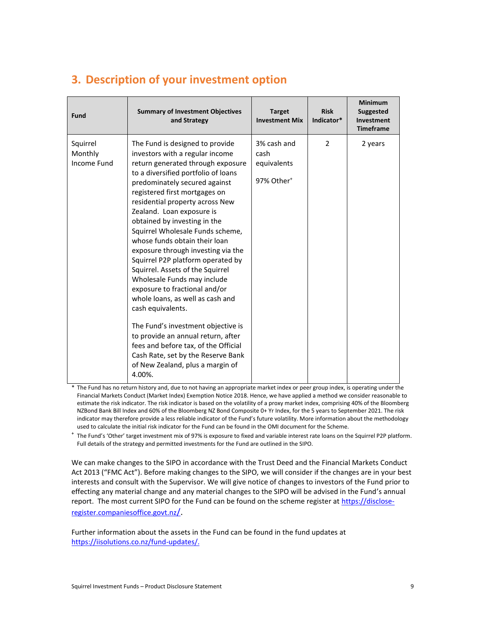<span id="page-8-0"></span>

| 3. Description of your investment option |  |  |
|------------------------------------------|--|--|
|                                          |  |  |

| <b>Fund</b>                        | <b>Summary of Investment Objectives</b><br>and Strategy                                                                                                                                                                                                                                                                                                                                                                                                                                                                                                                                                                                                                                                                                                                                                                               | <b>Target</b><br><b>Investment Mix</b>                       | <b>Risk</b><br>Indicator* | <b>Minimum</b><br><b>Suggested</b><br>Investment<br><b>Timeframe</b> |
|------------------------------------|---------------------------------------------------------------------------------------------------------------------------------------------------------------------------------------------------------------------------------------------------------------------------------------------------------------------------------------------------------------------------------------------------------------------------------------------------------------------------------------------------------------------------------------------------------------------------------------------------------------------------------------------------------------------------------------------------------------------------------------------------------------------------------------------------------------------------------------|--------------------------------------------------------------|---------------------------|----------------------------------------------------------------------|
| Squirrel<br>Monthly<br>Income Fund | The Fund is designed to provide<br>investors with a regular income<br>return generated through exposure<br>to a diversified portfolio of loans<br>predominately secured against<br>registered first mortgages on<br>residential property across New<br>Zealand. Loan exposure is<br>obtained by investing in the<br>Squirrel Wholesale Funds scheme,<br>whose funds obtain their loan<br>exposure through investing via the<br>Squirrel P2P platform operated by<br>Squirrel. Assets of the Squirrel<br>Wholesale Funds may include<br>exposure to fractional and/or<br>whole loans, as well as cash and<br>cash equivalents.<br>The Fund's investment objective is<br>to provide an annual return, after<br>fees and before tax, of the Official<br>Cash Rate, set by the Reserve Bank<br>of New Zealand, plus a margin of<br>4.00%. | 3% cash and<br>cash<br>equivalents<br>97% Other <sup>+</sup> | 2                         | 2 years                                                              |

\* The Fund has no return history and, due to not having an appropriate market index or peer group index, is operating under the Financial Markets Conduct (Market Index) Exemption Notice 2018. Hence, we have applied a method we consider reasonable to estimate the risk indicator. The risk indicator is based on the volatility of a proxy market index, comprising 40% of the Bloomberg NZBond Bank Bill Index and 60% of the Bloomberg NZ Bond Composite 0+ Yr Index, for the 5 years to September 2021. The risk indicator may therefore provide a less reliable indicator of the Fund's future volatility. More information about the methodology used to calculate the initial risk indicator for the Fund can be found in the OMI document for the Scheme.

+ The Fund's 'Other' target investment mix of 97% is exposure to fixed and variable interest rate loans on the Squirrel P2P platform. Full details of the strategy and permitted investments for the Fund are outlined in the SIPO.

We can make changes to the SIPO in accordance with the Trust Deed and the Financial Markets Conduct Act 2013 ("FMC Act"). Before making changes to the SIPO, we will consider if the changes are in your best interests and consult with the Supervisor. We will give notice of changes to investors of the Fund prior to effecting any material change and any material changes to the SIPO will be advised in the Fund's annual report. The most current SIPO for the Fund can be found on the scheme register at [https://disclose](https://disclose-register.companiesoffice.govt.nz/)[register.companiesoffice.govt.nz](https://disclose-register.companiesoffice.govt.nz/)/.

Further information about the assets in the Fund can be found in the fund updates at [https://iisolutions.co.nz/fund-updates/.](https://iisolutions.co.nz/fund-updates/)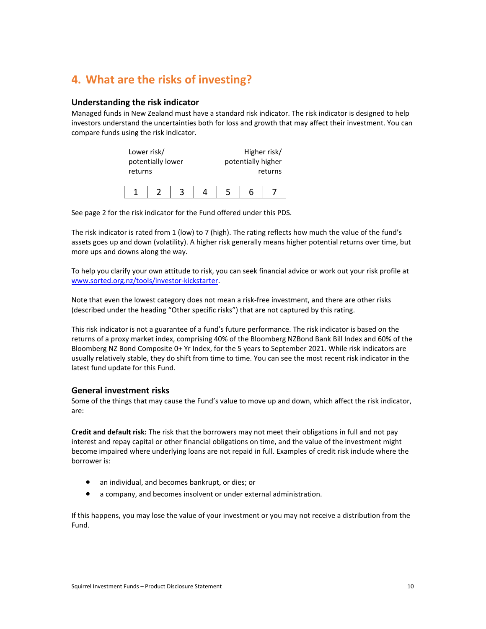# <span id="page-9-0"></span>**4. What are the risks of investing?**

#### **Understanding the risk indicator**

Managed funds in New Zealand must have a standard risk indicator. The risk indicator is designed to help investors understand the uncertainties both for loss and growth that may affect their investment. You can compare funds using the risk indicator.

| Lower risk/<br>potentially lower<br>returns |  |  |  | Higher risk/<br>potentially higher | returns |
|---------------------------------------------|--|--|--|------------------------------------|---------|
|                                             |  |  |  |                                    |         |

See page 2 for the risk indicator for the Fund offered under this PDS.

The risk indicator is rated from 1 (low) to 7 (high). The rating reflects how much the value of the fund's assets goes up and down (volatility). A higher risk generally means higher potential returns over time, but more ups and downs along the way.

To help you clarify your own attitude to risk, you can seek financial advice or work out your risk profile at [www.sorted.org.nz/tools/investor-kickstarter.](http://www.sorted.org.nz/tools/investor-kickstarter)

Note that even the lowest category does not mean a risk-free investment, and there are other risks (described under the heading "Other specific risks") that are not captured by this rating.

This risk indicator is not a guarantee of a fund's future performance. The risk indicator is based on the returns of a proxy market index, comprising 40% of the Bloomberg NZBond Bank Bill Index and 60% of the Bloomberg NZ Bond Composite 0+ Yr Index, for the 5 years to September 2021. While risk indicators are usually relatively stable, they do shift from time to time. You can see the most recent risk indicator in the latest fund update for this Fund.

#### **General investment risks**

Some of the things that may cause the Fund's value to move up and down, which affect the risk indicator, are:

**Credit and default risk:** The risk that the borrowers may not meet their obligations in full and not pay interest and repay capital or other financial obligations on time, and the value of the investment might become impaired where underlying loans are not repaid in full. Examples of credit risk include where the borrower is:

- an individual, and becomes bankrupt, or dies; or
- a company, and becomes insolvent or under external administration.

If this happens, you may lose the value of your investment or you may not receive a distribution from the Fund.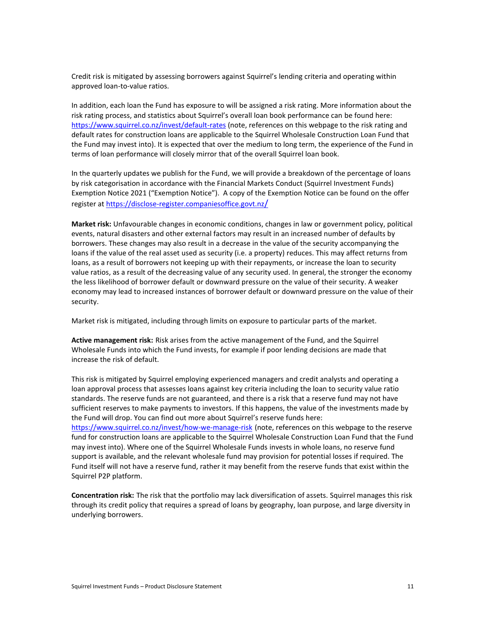Credit risk is mitigated by assessing borrowers against Squirrel's lending criteria and operating within approved loan-to-value ratios.

In addition, each loan the Fund has exposure to will be assigned a risk rating. More information about the risk rating process, and statistics about Squirrel's overall loan book performance can be found here: <https://www.squirrel.co.nz/invest/default-rates> (note, references on this webpage to the risk rating and default rates for construction loans are applicable to the Squirrel Wholesale Construction Loan Fund that the Fund may invest into). It is expected that over the medium to long term, the experience of the Fund in terms of loan performance will closely mirror that of the overall Squirrel loan book.

In the quarterly updates we publish for the Fund, we will provide a breakdown of the percentage of loans by risk categorisation in accordance with the Financial Markets Conduct (Squirrel Investment Funds) Exemption Notice 2021 ("Exemption Notice"). A copy of the Exemption Notice can be found on the offer register at [https://disclose-register.companiesoffice.govt.nz](https://disclose-register.companiesoffice.govt.nz/)[/](https://disclose-register.companiesoffice.govt.nz/)

**Market risk:** Unfavourable changes in economic conditions, changes in law or government policy, political events, natural disasters and other external factors may result in an increased number of defaults by borrowers. These changes may also result in a decrease in the value of the security accompanying the loans if the value of the real asset used as security (i.e. a property) reduces. This may affect returns from loans, as a result of borrowers not keeping up with their repayments, or increase the loan to security value ratios, as a result of the decreasing value of any security used. In general, the stronger the economy the less likelihood of borrower default or downward pressure on the value of their security. A weaker economy may lead to increased instances of borrower default or downward pressure on the value of their security.

Market risk is mitigated, including through limits on exposure to particular parts of the market.

**Active management risk:** Risk arises from the active management of the Fund, and the Squirrel Wholesale Funds into which the Fund invests, for example if poor lending decisions are made that increase the risk of default.

This risk is mitigated by Squirrel employing experienced managers and credit analysts and operating a loan approval process that assesses loans against key criteria including the loan to security value ratio standards. The reserve funds are not guaranteed, and there is a risk that a reserve fund may not have sufficient reserves to make payments to investors. If this happens, the value of the investments made by the Fund will drop. You can find out more about Squirrel's reserve funds here: <https://www.squirrel.co.nz/invest/how-we-manage-risk> (note, references on this webpage to the reserve fund for construction loans are applicable to the Squirrel Wholesale Construction Loan Fund that the Fund may invest into). Where one of the Squirrel Wholesale Funds invests in whole loans, no reserve fund support is available, and the relevant wholesale fund may provision for potential losses if required. The Fund itself will not have a reserve fund, rather it may benefit from the reserve funds that exist within the Squirrel P2P platform.

**Concentration risk:** The risk that the portfolio may lack diversification of assets. Squirrel manages this risk through its credit policy that requires a spread of loans by geography, loan purpose, and large diversity in underlying borrowers.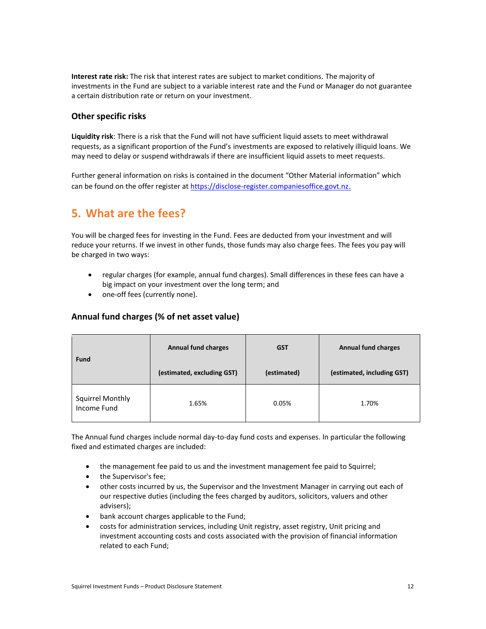**Interest rate risk:** The risk that interest rates are subject to market conditions. The majority of investments in the Fund are subject to a variable interest rate and the Fund or Manager do not guarantee a certain distribution rate or return on your investment.

## **Other specific risks**

**Liquidity risk**: There is a risk that the Fund will not have sufficient liquid assets to meet withdrawal requests, as a significant proportion of the Fund's investments are exposed to relatively illiquid loans. We may need to delay or suspend withdrawals if there are insufficient liquid assets to meet requests.

Further general information on risks is contained in the document "Other Material information" which can be found on the offer register at [https://disclose-register.companiesoffice.govt.nz](https://disclose-register.companiesoffice.govt.nz/).

# **5. What are the fees?**

You will be charged fees for investing in the Fund. Fees are deducted from your investment and will reduce your returns. If we invest in other funds, those funds may also charge fees. The fees you pay will be charged in two ways:

- regular charges (for example, annual fund charges). Small differences in these fees can have a big impact on your investment over the long term; and
- one-off fees (currently none).

## **Annual fund charges (% of net asset value)**

| <b>Fund</b>                            | <b>Annual fund charges</b> | <b>GST</b>  | <b>Annual fund charges</b> |
|----------------------------------------|----------------------------|-------------|----------------------------|
|                                        | (estimated, excluding GST) | (estimated) | (estimated, including GST) |
| <b>Squirrel Monthly</b><br>Income Fund | 1.65%                      | 0.05%       | 1.70%                      |

The Annual fund charges include normal day-to-day fund costs and expenses. In particular the following fixed and estimated charges are included:

- the management fee paid to us and the investment management fee paid to Squirrel;
- the Supervisor's fee;
- other costs incurred by us, the Supervisor and the Investment Manager in carrying out each of our respective duties (including the fees charged by auditors, solicitors, valuers and other advisers);
- bank account charges applicable to the Fund;
- costs for administration services, including Unit registry, asset registry, Unit pricing and investment accounting costs and costs associated with the provision of financial information related to each Fund;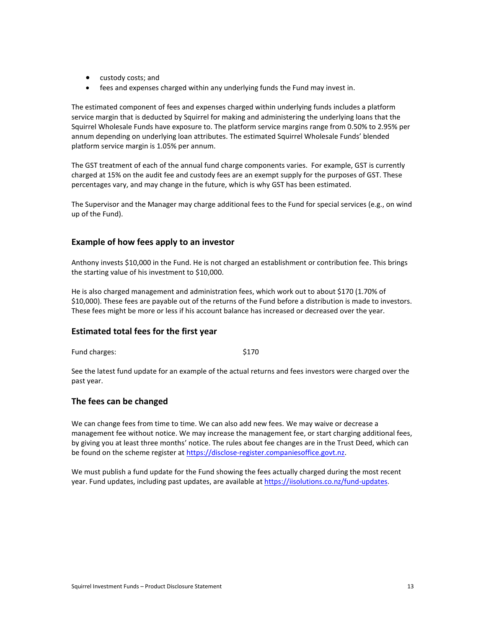- custody costs; and
- fees and expenses charged within any underlying funds the Fund may invest in.

The estimated component of fees and expenses charged within underlying funds includes a platform service margin that is deducted by Squirrel for making and administering the underlying loans that the Squirrel Wholesale Funds have exposure to. The platform service margins range from 0.50% to 2.95% per annum depending on underlying loan attributes. The estimated Squirrel Wholesale Funds' blended platform service margin is 1.05% per annum.

The GST treatment of each of the annual fund charge components varies. For example, GST is currently charged at 15% on the audit fee and custody fees are an exempt supply for the purposes of GST. These percentages vary, and may change in the future, which is why GST has been estimated.

The Supervisor and the Manager may charge additional fees to the Fund for special services (e.g., on wind up of the Fund).

#### **Example of how fees apply to an investor**

Anthony invests \$10,000 in the Fund. He is not charged an establishment or contribution fee. This brings the starting value of his investment to \$10,000.

He is also charged management and administration fees, which work out to about \$170 (1.70% of \$10,000). These fees are payable out of the returns of the Fund before a distribution is made to investors. These fees might be more or less if his account balance has increased or decreased over the year.

#### **Estimated total fees for the first year**

Fund charges:  $$170$ 

See the latest fund update for an example of the actual returns and fees investors were charged over the past year.

## **The fees can be changed**

We can change fees from time to time. We can also add new fees. We may waive or decrease a management fee without notice. We may increase the management fee, or start charging additional fees, by giving you at least three months' notice. The rules about fee changes are in the Trust Deed, which can be found on the scheme register at [https://disclose-register.companiesoffice.govt.nz.](https://disclose-register.companiesoffice.govt.nz/)

We must publish a fund update for the Fund showing the fees actually charged during the most recent year. Fund updates, including past updates, are available a[t https://iisolutions.co.nz/fund-updates](https://iisolutions.co.nz/fund-updates).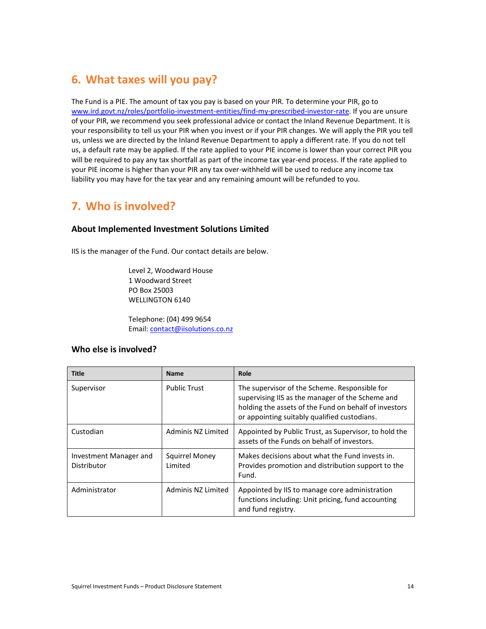## <span id="page-13-1"></span>**6. What taxes will you pay?**

The Fund is a PIE. The amount of tax you pay is based on your PIR. To determine your PIR, go to [www.ird.govt.nz/roles/portfolio-investment-entities/find-my-prescribed-investor-rate.](http://www.ird.govt.nz/roles/portfolio-investment-entities/find-my-prescribed-investor-rate) If you are unsure of your PIR, we recommend you seek professional advice or contact the Inland Revenue Department. It is your responsibility to tell us your PIR when you invest or if your PIR changes. We will apply the PIR you tell us, unless we are directed by the Inland Revenue Department to apply a different rate. If you do not tell us, a default rate may be applied. If the rate applied to your PIE income is lower than your correct PIR you will be required to pay any tax shortfall as part of the income tax year-end process. If the rate applied to your PIE income is higher than your PIR any tax over-withheld will be used to reduce any income tax liability you may have for the tax year and any remaining amount will be refunded to you.

## <span id="page-13-0"></span>**7. Who is involved?**

#### **About Implemented Investment Solutions Limited**

IIS is the manager of the Fund. Our contact details are below.

Level 2, Woodward House 1 Woodward Street PO Box 25003 WELLINGTON 6140

Telephone: (04) 499 9654 Email: [contact@iisolutions.co.nz](mailto:contact@iisolutions.co.nz)

#### **Who else is involved?**

| <b>Title</b>                          | <b>Name</b>               | Role                                                                                                                                                                                                       |
|---------------------------------------|---------------------------|------------------------------------------------------------------------------------------------------------------------------------------------------------------------------------------------------------|
| Supervisor                            | <b>Public Trust</b>       | The supervisor of the Scheme. Responsible for<br>supervising IIS as the manager of the Scheme and<br>holding the assets of the Fund on behalf of investors<br>or appointing suitably qualified custodians. |
| Custodian                             | Adminis NZ Limited        | Appointed by Public Trust, as Supervisor, to hold the<br>assets of the Funds on behalf of investors.                                                                                                       |
| Investment Manager and<br>Distributor | Squirrel Money<br>Limited | Makes decisions about what the Fund invests in.<br>Provides promotion and distribution support to the<br>Fund.                                                                                             |
| Administrator                         | Adminis NZ Limited        | Appointed by IIS to manage core administration<br>functions including: Unit pricing, fund accounting<br>and fund registry.                                                                                 |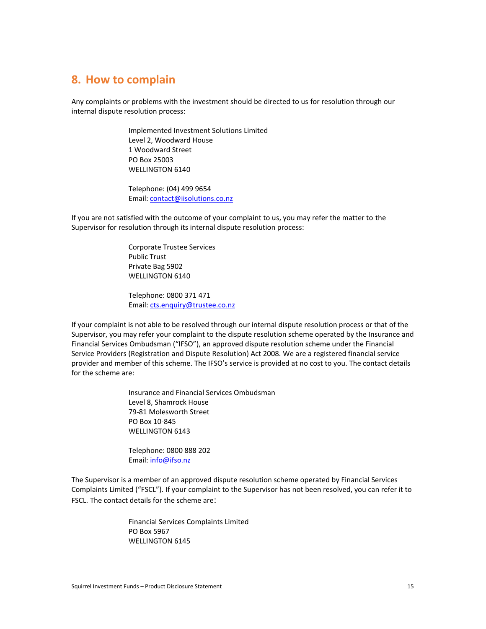## **8. How to complain**

Any complaints or problems with the investment should be directed to us for resolution through our internal dispute resolution process:

> Implemented Investment Solutions Limited Level 2, Woodward House 1 Woodward Street PO Box 25003 WELLINGTON 6140

Telephone: (04) 499 9654 Email: [contact@iisolutions.co.nz](mailto:contact@iisolutions.co.nz)

If you are not satisfied with the outcome of your complaint to us, you may refer the matter to the Supervisor for resolution through its internal dispute resolution process:

> Corporate Trustee Services Public Trust Private Bag 5902 WELLINGTON 6140

Telephone: 0800 371 471 Email: [cts.enquiry@trustee.co.nz](mailto:cts.enquiry@trustee.co.nz)

If your complaint is not able to be resolved through our internal dispute resolution process or that of the Supervisor, you may refer your complaint to the dispute resolution scheme operated by the Insurance and Financial Services Ombudsman ("IFSO"), an approved dispute resolution scheme under the Financial Service Providers (Registration and Dispute Resolution) Act 2008. We are a registered financial service provider and member of this scheme. The IFSO's service is provided at no cost to you. The contact details for the scheme are:

> Insurance and Financial Services Ombudsman Level 8, Shamrock House 79-81 Molesworth Street PO Box 10-845 WELLINGTON 6143

Telephone: 0800 888 202 Email: [info@ifso.nz](mailto:info@ifso.nz)

The Supervisor is a member of an approved dispute resolution scheme operated by Financial Services Complaints Limited ("FSCL"). If your complaint to the Supervisor has not been resolved, you can refer it to FSCL. The contact details for the scheme are:

> Financial Services Complaints Limited PO Box 5967 WELLINGTON 6145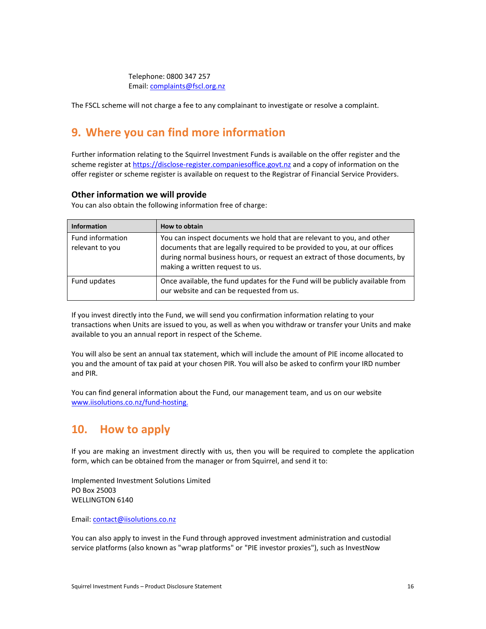Telephone: 0800 347 257 Email: [complaints@fscl.org.nz](mailto:complaints@fscl.org.nz) 

The FSCL scheme will not charge a fee to any complainant to investigate or resolve a complaint.

# **9. Where you can find more information**

Further information relating to the Squirrel Investment Funds is available on the offer register and the scheme register a[t https://disclose-register.companiesoffice.govt.nz](https://disclose-register.companiesoffice.govt.nz/) and a copy of information on the offer register or scheme register is available on request to the Registrar of Financial Service Providers.

#### **Other information we will provide**

You can also obtain the following information free of charge:

| <b>Information</b>                  | How to obtain                                                                                                                                                                                                                                                       |
|-------------------------------------|---------------------------------------------------------------------------------------------------------------------------------------------------------------------------------------------------------------------------------------------------------------------|
| Fund information<br>relevant to you | You can inspect documents we hold that are relevant to you, and other<br>documents that are legally required to be provided to you, at our offices<br>during normal business hours, or request an extract of those documents, by<br>making a written request to us. |
| Fund updates                        | Once available, the fund updates for the Fund will be publicly available from<br>our website and can be requested from us.                                                                                                                                          |

If you invest directly into the Fund, we will send you confirmation information relating to your transactions when Units are issued to you, as well as when you withdraw or transfer your Units and make available to you an annual report in respect of the Scheme.

You will also be sent an annual tax statement, which will include the amount of PIE income allocated to you and the amount of tax paid at your chosen PIR. You will also be asked to confirm your IRD number and PIR.

You can find general information about the Fund, our management team, and us on our website [www.iisolutions.co.nz/fund-hosting](http://www.iisolutions.co.nz/fund-hosting.)[.](http://www.iisolutions.co.nz/fund-hosting.)

# **10. How to apply**

If you are making an investment directly with us, then you will be required to complete the application form, which can be obtained from the manager or from Squirrel, and send it to:

Implemented Investment Solutions Limited PO Box 25003 WELLINGTON 6140

Email: [contact@iisolutions.co.nz](mailto:contact@iisolutions.co.nz)

You can also apply to invest in the Fund through approved investment administration and custodial service platforms (also known as "wrap platforms" or "PIE investor proxies"), such as InvestNow